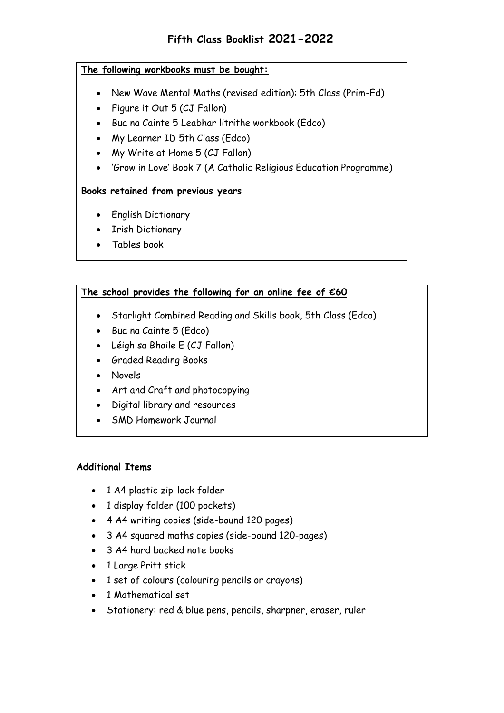### **The following workbooks must be bought:**

- New Wave Mental Maths (revised edition): 5th Class (Prim-Ed)
- Figure it Out 5 (CJ Fallon)
- Bua na Cainte 5 Leabhar litrithe workbook (Edco)
- My Learner ID 5th Class (Edco)
- My Write at Home 5 (CJ Fallon)
- 'Grow in Love' Book 7 (A Catholic Religious Education Programme)

## **Books retained from previous years**

- English Dictionary
- Irish Dictionary
- Tables book

# **The school provides the following for an online fee of €60**

- Starlight Combined Reading and Skills book, 5th Class (Edco)
- Bua na Cainte 5 (Edco)
- Léigh sa Bhaile E (CJ Fallon)
- Graded Reading Books
- Novels
- Art and Craft and photocopying
- Digital library and resources
- SMD Homework Journal

#### **Additional Items**

- 1 A4 plastic zip-lock folder
- 1 display folder (100 pockets)
- 4 A4 writing copies (side-bound 120 pages)
- 3 A4 squared maths copies (side-bound 120-pages)
- 3 A4 hard backed note books
- 1 Large Pritt stick
- 1 set of colours (colouring pencils or crayons)
- 1 Mathematical set
- Stationery: red & blue pens, pencils, sharpner, eraser, ruler